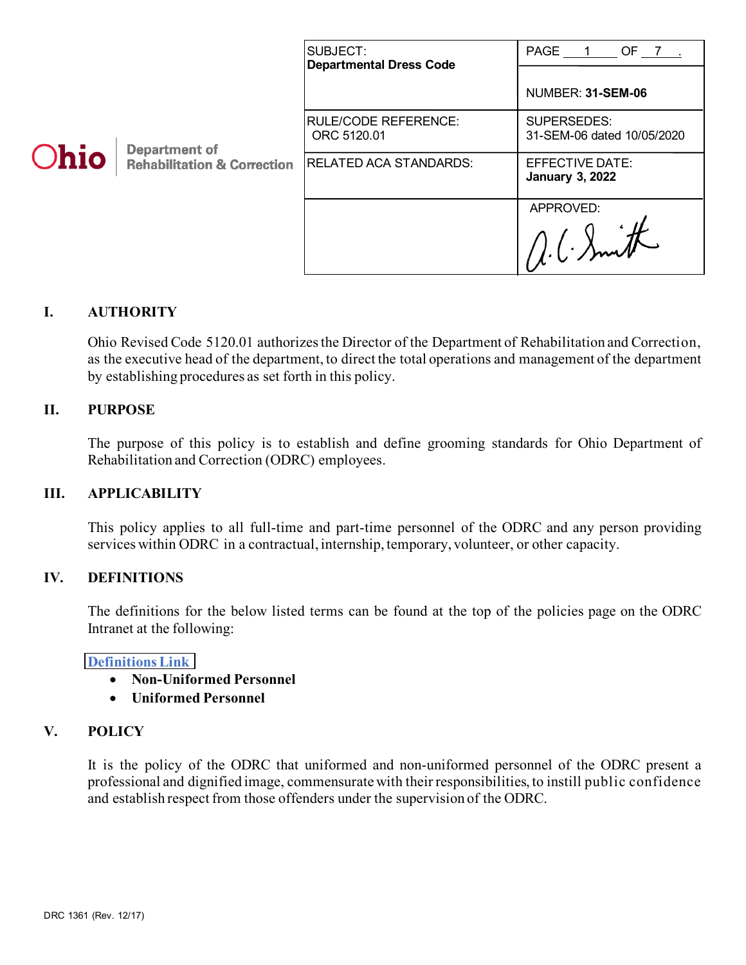|      |                                                                | SUBJECT:<br><b>Departmental Dress Code</b> | PAGE 1 OF 7                                      |
|------|----------------------------------------------------------------|--------------------------------------------|--------------------------------------------------|
| Ohio | <b>Department of</b><br><b>Rehabilitation &amp; Correction</b> |                                            | NUMBER: 31-SEM-06                                |
|      |                                                                | <b>RULE/CODE REFERENCE:</b><br>ORC 5120.01 | SUPERSEDES:<br>31-SEM-06 dated 10/05/2020        |
|      |                                                                | <b>RELATED ACA STANDARDS:</b>              | <b>EFFECTIVE DATE:</b><br><b>January 3, 2022</b> |
|      |                                                                |                                            | APPROVED:                                        |

## **I. AUTHORITY**

Ohio Revised Code 5120.01 authorizes the Director of the Department of Rehabilitation and Correction, as the executive head of the department, to direct the total operations and management of the department by establishing procedures as set forth in this policy.

### **II. PURPOSE**

The purpose of this policy is to establish and define grooming standards for Ohio Department of Rehabilitation and Correction (ODRC) employees.

#### **III. APPLICABILITY**

This policy applies to all full-time and part-time personnel of the ODRC and any person providing services within ODRC in a contractual, internship, temporary, volunteer, or other capacity.

#### **IV. DEFINITIONS**

The definitions for the below listed terms can be found at the top of the policies page on the ODRC Intranet at the following:

#### **[Definitions Link](http://intra/policies/pagecontent/files/Policy%20Definition%20Spreadsheet%20-%20Intranet%202021.pdf)**

- **Non-Uniformed Personnel**
- **Uniformed Personnel**

### **V. POLICY**

It is the policy of the ODRC that uniformed and non-uniformed personnel of the ODRC present a professional and dignified image, commensurate with their responsibilities, to instill public confidence and establish respect from those offenders under the supervision of the ODRC.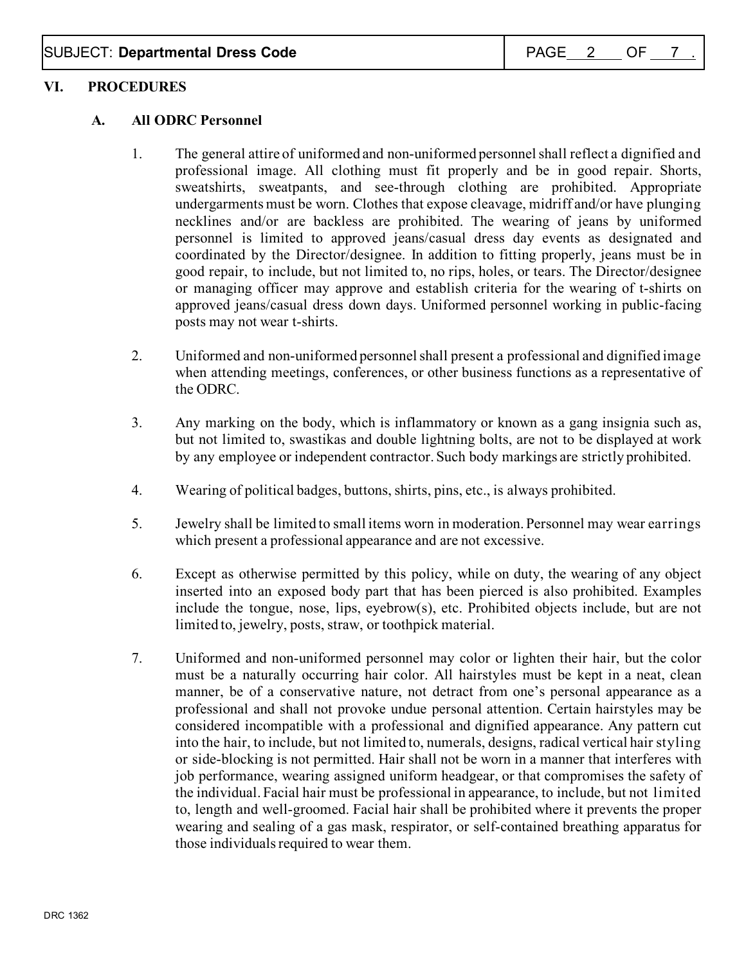## **VI. PROCEDURES**

## **A. All ODRC Personnel**

- 1. The general attire of uniformed and non-uniformed personnel shall reflect a dignified and professional image. All clothing must fit properly and be in good repair. Shorts, sweatshirts, sweatpants, and see-through clothing are prohibited. Appropriate undergarments must be worn. Clothes that expose cleavage, midriff and/or have plunging necklines and/or are backless are prohibited. The wearing of jeans by uniformed personnel is limited to approved jeans/casual dress day events as designated and coordinated by the Director/designee. In addition to fitting properly, jeans must be in good repair, to include, but not limited to, no rips, holes, or tears. The Director/designee or managing officer may approve and establish criteria for the wearing of t-shirts on approved jeans/casual dress down days. Uniformed personnel working in public-facing posts may not wear t-shirts.
- 2. Uniformed and non-uniformed personnel shall present a professional and dignified image when attending meetings, conferences, or other business functions as a representative of the ODRC.
- 3. Any marking on the body, which is inflammatory or known as a gang insignia such as, but not limited to, swastikas and double lightning bolts, are not to be displayed at work by any employee or independent contractor. Such body markings are strictly prohibited.
- 4. Wearing of political badges, buttons, shirts, pins, etc., is always prohibited.
- 5. Jewelry shall be limited to small items worn in moderation. Personnel may wear earrings which present a professional appearance and are not excessive.
- 6. Except as otherwise permitted by this policy, while on duty, the wearing of any object inserted into an exposed body part that has been pierced is also prohibited. Examples include the tongue, nose, lips, eyebrow(s), etc. Prohibited objects include, but are not limited to, jewelry, posts, straw, or toothpick material.
- 7. Uniformed and non-uniformed personnel may color or lighten their hair, but the color must be a naturally occurring hair color. All hairstyles must be kept in a neat, clean manner, be of a conservative nature, not detract from one's personal appearance as a professional and shall not provoke undue personal attention. Certain hairstyles may be considered incompatible with a professional and dignified appearance. Any pattern cut into the hair, to include, but not limited to, numerals, designs, radical vertical hair styling or side-blocking is not permitted. Hair shall not be worn in a manner that interferes with job performance, wearing assigned uniform headgear, or that compromises the safety of the individual. Facial hair must be professional in appearance, to include, but not limited to, length and well-groomed. Facial hair shall be prohibited where it prevents the proper wearing and sealing of a gas mask, respirator, or self-contained breathing apparatus for those individuals required to wear them.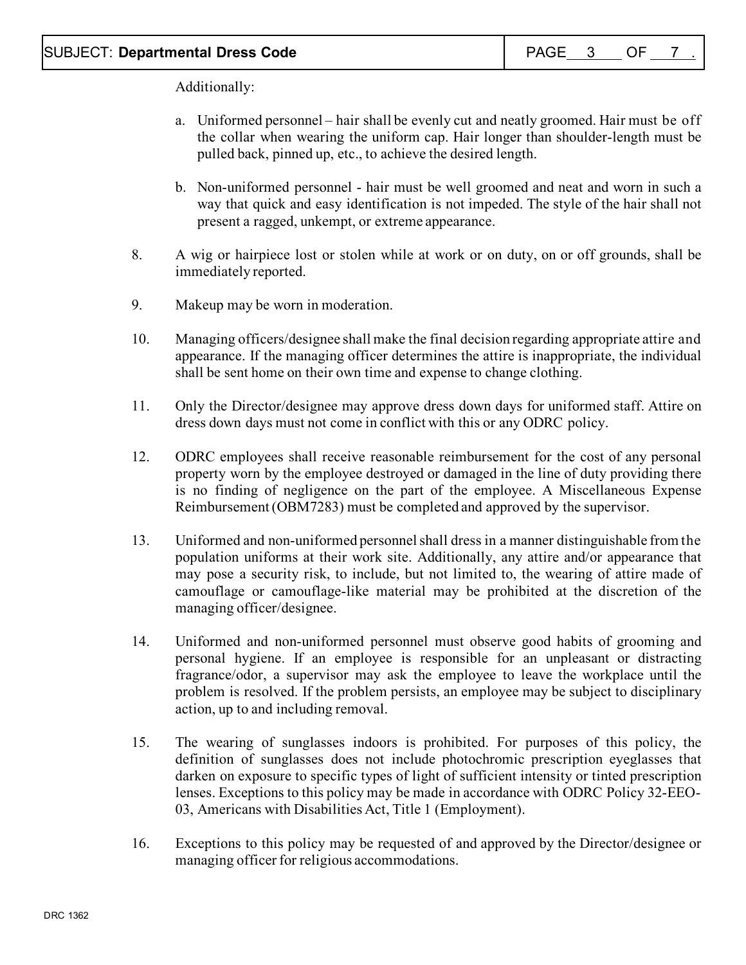Additionally:

- a. Uniformed personnel hair shall be evenly cut and neatly groomed. Hair must be off the collar when wearing the uniform cap. Hair longer than shoulder-length must be pulled back, pinned up, etc., to achieve the desired length.
- b. Non-uniformed personnel hair must be well groomed and neat and worn in such a way that quick and easy identification is not impeded. The style of the hair shall not present a ragged, unkempt, or extreme appearance.
- 8. A wig or hairpiece lost or stolen while at work or on duty, on or off grounds, shall be immediately reported.
- 9. Makeup may be worn in moderation.
- 10. Managing officers/designee shall make the final decision regarding appropriate attire and appearance. If the managing officer determines the attire is inappropriate, the individual shall be sent home on their own time and expense to change clothing.
- 11. Only the Director/designee may approve dress down days for uniformed staff. Attire on dress down days must not come in conflict with this or any ODRC policy.
- 12. ODRC employees shall receive reasonable reimbursement for the cost of any personal property worn by the employee destroyed or damaged in the line of duty providing there is no finding of negligence on the part of the employee. A Miscellaneous Expense Reimbursement (OBM7283) must be completed and approved by the supervisor.
- 13. Uniformed and non-uniformed personnel shall dress in a manner distinguishable from the population uniforms at their work site. Additionally, any attire and/or appearance that may pose a security risk, to include, but not limited to, the wearing of attire made of camouflage or camouflage-like material may be prohibited at the discretion of the managing officer/designee.
- 14. Uniformed and non-uniformed personnel must observe good habits of grooming and personal hygiene. If an employee is responsible for an unpleasant or distracting fragrance/odor, a supervisor may ask the employee to leave the workplace until the problem is resolved. If the problem persists, an employee may be subject to disciplinary action, up to and including removal.
- 15. The wearing of sunglasses indoors is prohibited. For purposes of this policy, the definition of sunglasses does not include photochromic prescription eyeglasses that darken on exposure to specific types of light of sufficient intensity or tinted prescription lenses. Exceptions to this policy may be made in accordance with ODRC Policy 32-EEO-03, Americans with Disabilities Act, Title 1 (Employment).
- 16. Exceptions to this policy may be requested of and approved by the Director/designee or managing officer for religious accommodations.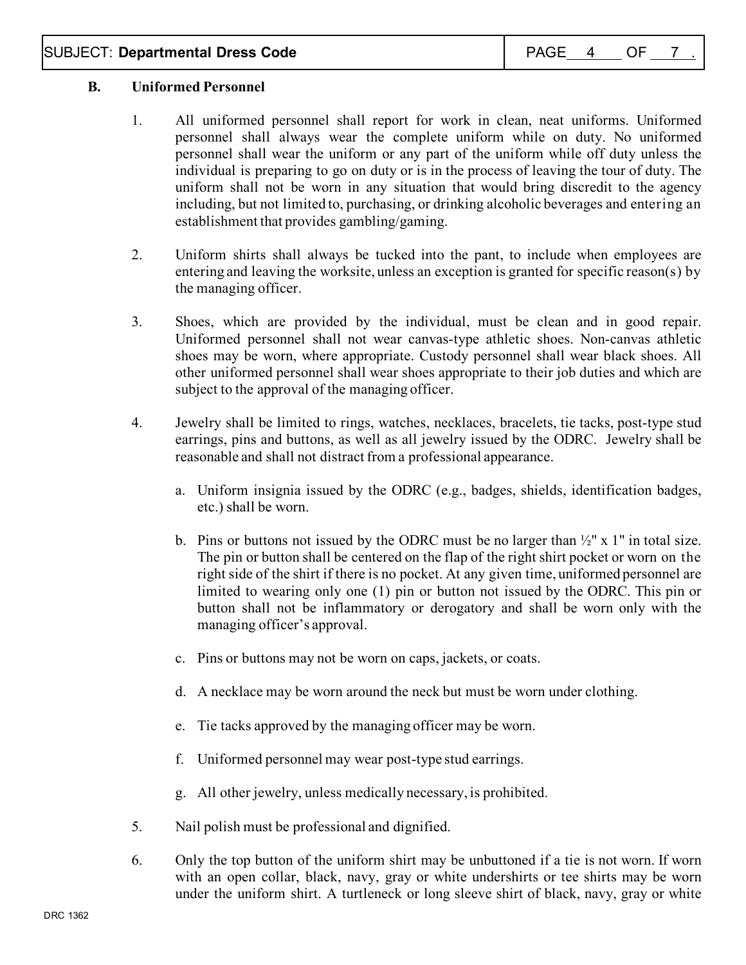# **B. Uniformed Personnel**

- 1. All uniformed personnel shall report for work in clean, neat uniforms. Uniformed personnel shall always wear the complete uniform while on duty. No uniformed personnel shall wear the uniform or any part of the uniform while off duty unless the individual is preparing to go on duty or is in the process of leaving the tour of duty. The uniform shall not be worn in any situation that would bring discredit to the agency including, but not limited to, purchasing, or drinking alcoholic beverages and entering an establishment that provides gambling/gaming.
- 2. Uniform shirts shall always be tucked into the pant, to include when employees are entering and leaving the worksite, unless an exception is granted for specific reason(s) by the managing officer.
- 3. Shoes, which are provided by the individual, must be clean and in good repair. Uniformed personnel shall not wear canvas-type athletic shoes. Non-canvas athletic shoes may be worn, where appropriate. Custody personnel shall wear black shoes. All other uniformed personnel shall wear shoes appropriate to their job duties and which are subject to the approval of the managing officer.
- 4. Jewelry shall be limited to rings, watches, necklaces, bracelets, tie tacks, post-type stud earrings, pins and buttons, as well as all jewelry issued by the ODRC. Jewelry shall be reasonable and shall not distract from a professional appearance.
	- a. Uniform insignia issued by the ODRC (e.g., badges, shields, identification badges, etc.) shall be worn.
	- b. Pins or buttons not issued by the ODRC must be no larger than  $\frac{1}{2}$ " x 1" in total size. The pin or button shall be centered on the flap of the right shirt pocket or worn on the right side of the shirt if there is no pocket. At any given time, uniformed personnel are limited to wearing only one (1) pin or button not issued by the ODRC. This pin or button shall not be inflammatory or derogatory and shall be worn only with the managing officer's approval.
	- c. Pins or buttons may not be worn on caps, jackets, or coats.
	- d. A necklace may be worn around the neck but must be worn under clothing.
	- e. Tie tacks approved by the managing officer may be worn.
	- f. Uniformed personnel may wear post-type stud earrings.
	- g. All other jewelry, unless medically necessary, is prohibited.
- 5. Nail polish must be professional and dignified.
- 6. Only the top button of the uniform shirt may be unbuttoned if a tie is not worn. If worn with an open collar, black, navy, gray or white undershirts or tee shirts may be worn under the uniform shirt. A turtleneck or long sleeve shirt of black, navy, gray or white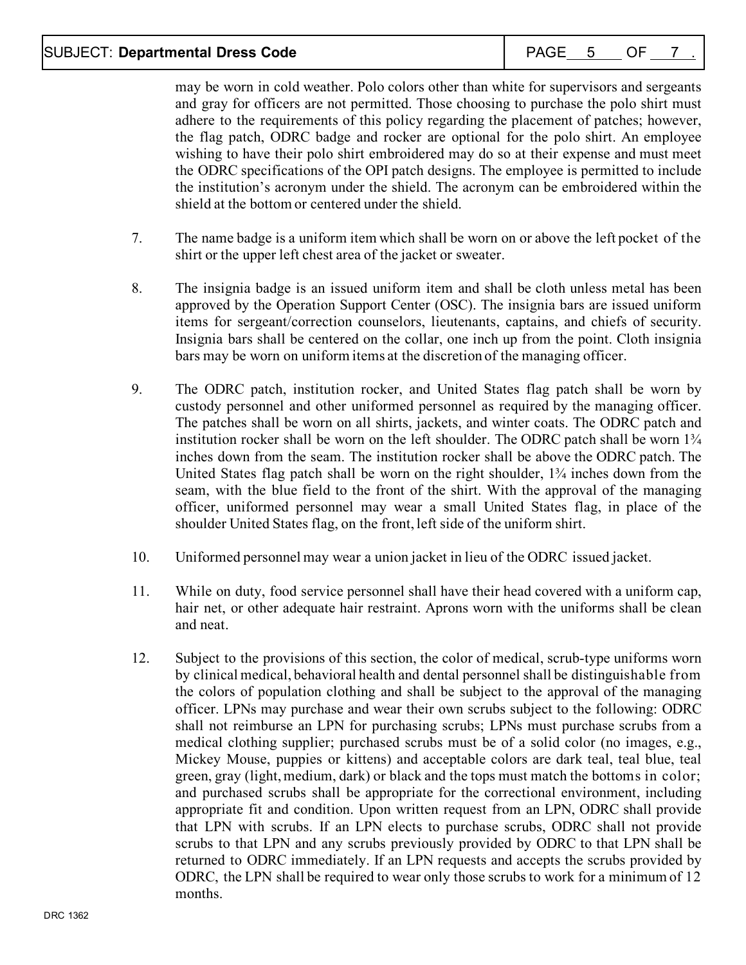# SUBJECT: **Departmental Dress Code** PAGE 5 OF 7

may be worn in cold weather. Polo colors other than white for supervisors and sergeants and gray for officers are not permitted. Those choosing to purchase the polo shirt must adhere to the requirements of this policy regarding the placement of patches; however, the flag patch, ODRC badge and rocker are optional for the polo shirt. An employee wishing to have their polo shirt embroidered may do so at their expense and must meet the ODRC specifications of the OPI patch designs. The employee is permitted to include the institution's acronym under the shield. The acronym can be embroidered within the shield at the bottom or centered under the shield.

- 7. The name badge is a uniform item which shall be worn on or above the left pocket of the shirt or the upper left chest area of the jacket or sweater.
- 8. The insignia badge is an issued uniform item and shall be cloth unless metal has been approved by the Operation Support Center (OSC). The insignia bars are issued uniform items for sergeant/correction counselors, lieutenants, captains, and chiefs of security. Insignia bars shall be centered on the collar, one inch up from the point. Cloth insignia bars may be worn on uniform items at the discretion of the managing officer.
- 9. The ODRC patch, institution rocker, and United States flag patch shall be worn by custody personnel and other uniformed personnel as required by the managing officer. The patches shall be worn on all shirts, jackets, and winter coats. The ODRC patch and institution rocker shall be worn on the left shoulder. The ODRC patch shall be worn  $1\frac{3}{4}$ inches down from the seam. The institution rocker shall be above the ODRC patch. The United States flag patch shall be worn on the right shoulder,  $1\frac{3}{4}$  inches down from the seam, with the blue field to the front of the shirt. With the approval of the managing officer, uniformed personnel may wear a small United States flag, in place of the shoulder United States flag, on the front, left side of the uniform shirt.
- 10. Uniformed personnel may wear a union jacket in lieu of the ODRC issued jacket.
- 11. While on duty, food service personnel shall have their head covered with a uniform cap, hair net, or other adequate hair restraint. Aprons worn with the uniforms shall be clean and neat.
- 12. Subject to the provisions of this section, the color of medical, scrub-type uniforms worn by clinical medical, behavioral health and dental personnel shall be distinguishable from the colors of population clothing and shall be subject to the approval of the managing officer. LPNs may purchase and wear their own scrubs subject to the following: ODRC shall not reimburse an LPN for purchasing scrubs; LPNs must purchase scrubs from a medical clothing supplier; purchased scrubs must be of a solid color (no images, e.g., Mickey Mouse, puppies or kittens) and acceptable colors are dark teal, teal blue, teal green, gray (light, medium, dark) or black and the tops must match the bottoms in color; and purchased scrubs shall be appropriate for the correctional environment, including appropriate fit and condition. Upon written request from an LPN, ODRC shall provide that LPN with scrubs. If an LPN elects to purchase scrubs, ODRC shall not provide scrubs to that LPN and any scrubs previously provided by ODRC to that LPN shall be returned to ODRC immediately. If an LPN requests and accepts the scrubs provided by ODRC, the LPN shall be required to wear only those scrubs to work for a minimum of 12 months.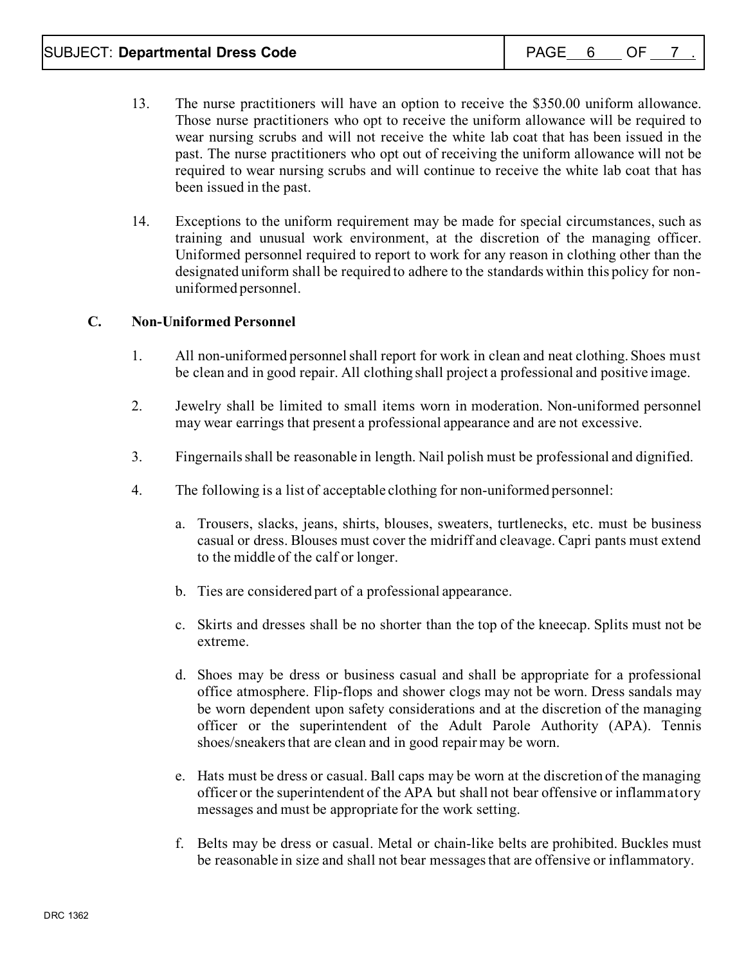- 13. The nurse practitioners will have an option to receive the \$350.00 uniform allowance. Those nurse practitioners who opt to receive the uniform allowance will be required to wear nursing scrubs and will not receive the white lab coat that has been issued in the past. The nurse practitioners who opt out of receiving the uniform allowance will not be required to wear nursing scrubs and will continue to receive the white lab coat that has been issued in the past.
- 14. Exceptions to the uniform requirement may be made for special circumstances, such as training and unusual work environment, at the discretion of the managing officer. Uniformed personnel required to report to work for any reason in clothing other than the designated uniform shall be required to adhere to the standards within this policy for nonuniformed personnel.

# **C. Non-Uniformed Personnel**

- 1. All non-uniformed personnel shall report for work in clean and neat clothing. Shoes must be clean and in good repair. All clothing shall project a professional and positive image.
- 2. Jewelry shall be limited to small items worn in moderation. Non-uniformed personnel may wear earrings that present a professional appearance and are not excessive.
- 3. Fingernails shall be reasonable in length. Nail polish must be professional and dignified.
- 4. The following is a list of acceptable clothing for non-uniformed personnel:
	- a. Trousers, slacks, jeans, shirts, blouses, sweaters, turtlenecks, etc. must be business casual or dress. Blouses must cover the midriff and cleavage. Capri pants must extend to the middle of the calf or longer.
	- b. Ties are considered part of a professional appearance.
	- c. Skirts and dresses shall be no shorter than the top of the kneecap. Splits must not be extreme.
	- d. Shoes may be dress or business casual and shall be appropriate for a professional office atmosphere. Flip-flops and shower clogs may not be worn. Dress sandals may be worn dependent upon safety considerations and at the discretion of the managing officer or the superintendent of the Adult Parole Authority (APA). Tennis shoes/sneakers that are clean and in good repair may be worn.
	- e. Hats must be dress or casual. Ball caps may be worn at the discretion of the managing officer or the superintendent of the APA but shall not bear offensive or inflammatory messages and must be appropriate for the work setting.
	- f. Belts may be dress or casual. Metal or chain-like belts are prohibited. Buckles must be reasonable in size and shall not bear messages that are offensive or inflammatory.